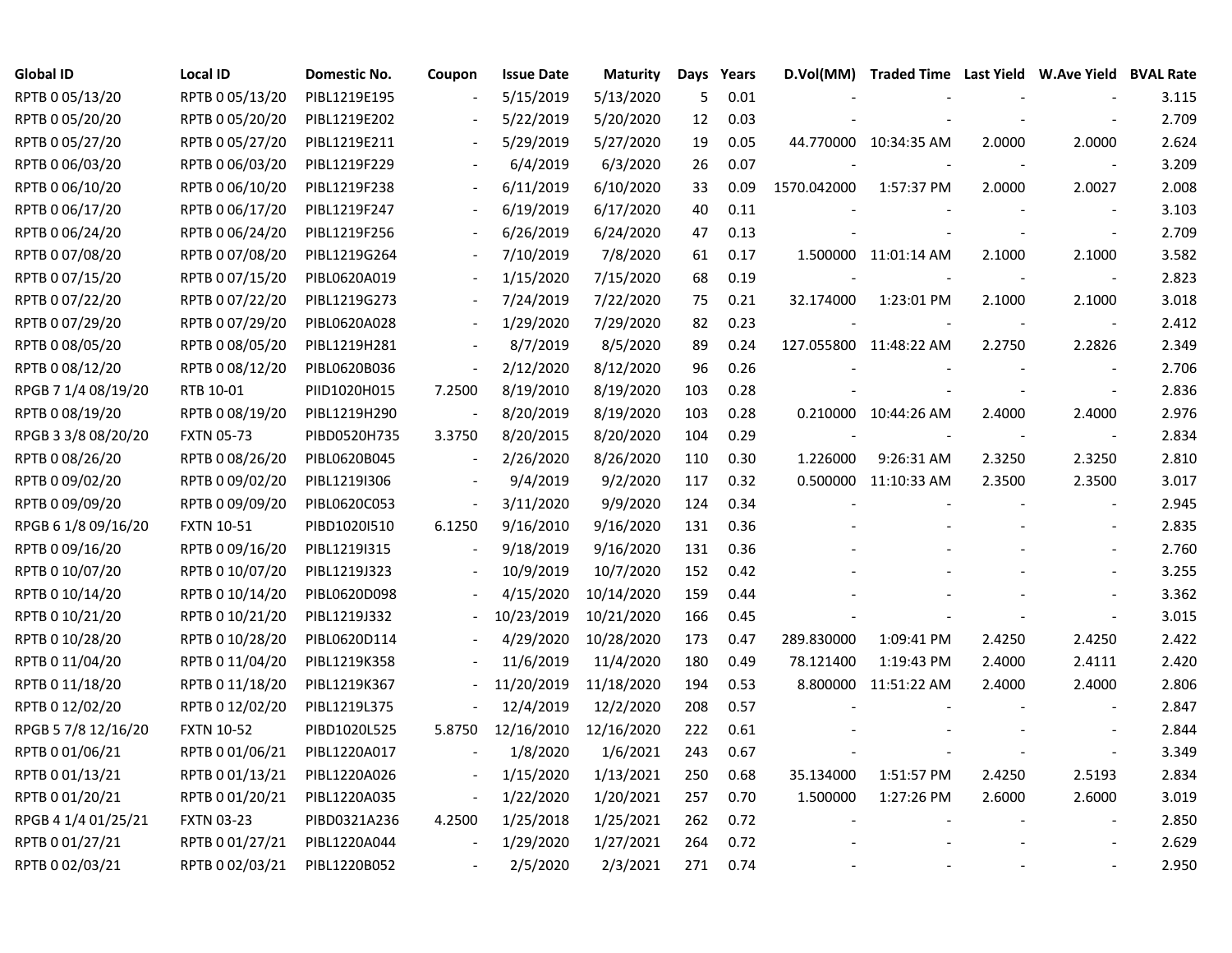| <b>Global ID</b>    | <b>Local ID</b>   | Domestic No. | Coupon                   | <b>Issue Date</b> | <b>Maturity</b> | Days | Years |             | D.Vol(MM) Traded Time Last Yield W.Ave Yield BVAL Rate |        |                          |       |
|---------------------|-------------------|--------------|--------------------------|-------------------|-----------------|------|-------|-------------|--------------------------------------------------------|--------|--------------------------|-------|
| RPTB 0 05/13/20     | RPTB 0 05/13/20   | PIBL1219E195 |                          | 5/15/2019         | 5/13/2020       | 5    | 0.01  |             |                                                        |        |                          | 3.115 |
| RPTB 0 05/20/20     | RPTB 0 05/20/20   | PIBL1219E202 |                          | 5/22/2019         | 5/20/2020       | 12   | 0.03  |             |                                                        |        |                          | 2.709 |
| RPTB 0 05/27/20     | RPTB 0 05/27/20   | PIBL1219E211 |                          | 5/29/2019         | 5/27/2020       | 19   | 0.05  |             | 44.770000 10:34:35 AM                                  | 2.0000 | 2.0000                   | 2.624 |
| RPTB 0 06/03/20     | RPTB 0 06/03/20   | PIBL1219F229 |                          | 6/4/2019          | 6/3/2020        | 26   | 0.07  |             |                                                        |        |                          | 3.209 |
| RPTB 0 06/10/20     | RPTB 0 06/10/20   | PIBL1219F238 | $\blacksquare$           | 6/11/2019         | 6/10/2020       | 33   | 0.09  | 1570.042000 | 1:57:37 PM                                             | 2.0000 | 2.0027                   | 2.008 |
| RPTB 0 06/17/20     | RPTB 0 06/17/20   | PIBL1219F247 | $\overline{\phantom{a}}$ | 6/19/2019         | 6/17/2020       | 40   | 0.11  |             |                                                        |        |                          | 3.103 |
| RPTB 0 06/24/20     | RPTB 0 06/24/20   | PIBL1219F256 |                          | 6/26/2019         | 6/24/2020       | 47   | 0.13  |             |                                                        |        |                          | 2.709 |
| RPTB 0 07/08/20     | RPTB 0 07/08/20   | PIBL1219G264 |                          | 7/10/2019         | 7/8/2020        | 61   | 0.17  |             | 1.500000 11:01:14 AM                                   | 2.1000 | 2.1000                   | 3.582 |
| RPTB 0 07/15/20     | RPTB 0 07/15/20   | PIBL0620A019 |                          | 1/15/2020         | 7/15/2020       | 68   | 0.19  |             |                                                        |        |                          | 2.823 |
| RPTB 0 07/22/20     | RPTB 0 07/22/20   | PIBL1219G273 |                          | 7/24/2019         | 7/22/2020       | 75   | 0.21  | 32.174000   | 1:23:01 PM                                             | 2.1000 | 2.1000                   | 3.018 |
| RPTB 0 07/29/20     | RPTB 0 07/29/20   | PIBL0620A028 |                          | 1/29/2020         | 7/29/2020       | 82   | 0.23  |             |                                                        |        |                          | 2.412 |
| RPTB 0 08/05/20     | RPTB 0 08/05/20   | PIBL1219H281 |                          | 8/7/2019          | 8/5/2020        | 89   | 0.24  |             | 127.055800 11:48:22 AM                                 | 2.2750 | 2.2826                   | 2.349 |
| RPTB 0 08/12/20     | RPTB 0 08/12/20   | PIBL0620B036 | $\overline{\phantom{a}}$ | 2/12/2020         | 8/12/2020       | 96   | 0.26  |             |                                                        |        |                          | 2.706 |
| RPGB 7 1/4 08/19/20 | RTB 10-01         | PIID1020H015 | 7.2500                   | 8/19/2010         | 8/19/2020       | 103  | 0.28  |             |                                                        |        |                          | 2.836 |
| RPTB 0 08/19/20     | RPTB 0 08/19/20   | PIBL1219H290 |                          | 8/20/2019         | 8/19/2020       | 103  | 0.28  |             | 0.210000 10:44:26 AM                                   | 2.4000 | 2.4000                   | 2.976 |
| RPGB 3 3/8 08/20/20 | <b>FXTN 05-73</b> | PIBD0520H735 | 3.3750                   | 8/20/2015         | 8/20/2020       | 104  | 0.29  |             |                                                        |        | $\overline{\phantom{a}}$ | 2.834 |
| RPTB 0 08/26/20     | RPTB 0 08/26/20   | PIBL0620B045 | $\overline{\phantom{a}}$ | 2/26/2020         | 8/26/2020       | 110  | 0.30  | 1.226000    | 9:26:31 AM                                             | 2.3250 | 2.3250                   | 2.810 |
| RPTB 0 09/02/20     | RPTB 0 09/02/20   | PIBL1219I306 | $\overline{\phantom{a}}$ | 9/4/2019          | 9/2/2020        | 117  | 0.32  |             | 0.500000 11:10:33 AM                                   | 2.3500 | 2.3500                   | 3.017 |
| RPTB 0 09/09/20     | RPTB 0 09/09/20   | PIBL0620C053 | $\overline{\phantom{a}}$ | 3/11/2020         | 9/9/2020        | 124  | 0.34  |             |                                                        |        | $\overline{\phantom{a}}$ | 2.945 |
| RPGB 6 1/8 09/16/20 | <b>FXTN 10-51</b> | PIBD1020I510 | 6.1250                   | 9/16/2010         | 9/16/2020       | 131  | 0.36  |             |                                                        |        |                          | 2.835 |
| RPTB 0 09/16/20     | RPTB 0 09/16/20   | PIBL1219I315 |                          | 9/18/2019         | 9/16/2020       | 131  | 0.36  |             |                                                        |        |                          | 2.760 |
| RPTB 0 10/07/20     | RPTB 0 10/07/20   | PIBL1219J323 |                          | 10/9/2019         | 10/7/2020       | 152  | 0.42  |             |                                                        |        |                          | 3.255 |
| RPTB 0 10/14/20     | RPTB 0 10/14/20   | PIBL0620D098 |                          | 4/15/2020         | 10/14/2020      | 159  | 0.44  |             |                                                        |        | $\overline{\phantom{a}}$ | 3.362 |
| RPTB 0 10/21/20     | RPTB 0 10/21/20   | PIBL1219J332 |                          | 10/23/2019        | 10/21/2020      | 166  | 0.45  |             |                                                        |        | $\blacksquare$           | 3.015 |
| RPTB 0 10/28/20     | RPTB 0 10/28/20   | PIBL0620D114 |                          | 4/29/2020         | 10/28/2020      | 173  | 0.47  | 289.830000  | 1:09:41 PM                                             | 2.4250 | 2.4250                   | 2.422 |
| RPTB 0 11/04/20     | RPTB 0 11/04/20   | PIBL1219K358 |                          | 11/6/2019         | 11/4/2020       | 180  | 0.49  | 78.121400   | 1:19:43 PM                                             | 2.4000 | 2.4111                   | 2.420 |
| RPTB 0 11/18/20     | RPTB 0 11/18/20   | PIBL1219K367 |                          | 11/20/2019        | 11/18/2020      | 194  | 0.53  |             | 8.800000 11:51:22 AM                                   | 2.4000 | 2.4000                   | 2.806 |
| RPTB 0 12/02/20     | RPTB 0 12/02/20   | PIBL1219L375 |                          | 12/4/2019         | 12/2/2020       | 208  | 0.57  |             |                                                        |        |                          | 2.847 |
| RPGB 5 7/8 12/16/20 | <b>FXTN 10-52</b> | PIBD1020L525 | 5.8750                   | 12/16/2010        | 12/16/2020      | 222  | 0.61  |             |                                                        |        |                          | 2.844 |
| RPTB 0 01/06/21     | RPTB 0 01/06/21   | PIBL1220A017 |                          | 1/8/2020          | 1/6/2021        | 243  | 0.67  |             |                                                        |        | $\overline{\phantom{a}}$ | 3.349 |
| RPTB 0 01/13/21     | RPTB 0 01/13/21   | PIBL1220A026 | $\overline{\phantom{a}}$ | 1/15/2020         | 1/13/2021       | 250  | 0.68  | 35.134000   | 1:51:57 PM                                             | 2.4250 | 2.5193                   | 2.834 |
| RPTB 0 01/20/21     | RPTB 0 01/20/21   | PIBL1220A035 | $\overline{\phantom{a}}$ | 1/22/2020         | 1/20/2021       | 257  | 0.70  | 1.500000    | 1:27:26 PM                                             | 2.6000 | 2.6000                   | 3.019 |
| RPGB 4 1/4 01/25/21 | <b>FXTN 03-23</b> | PIBD0321A236 | 4.2500                   | 1/25/2018         | 1/25/2021       | 262  | 0.72  |             |                                                        |        |                          | 2.850 |
| RPTB 0 01/27/21     | RPTB 0 01/27/21   | PIBL1220A044 | $\sim$                   | 1/29/2020         | 1/27/2021       | 264  | 0.72  |             |                                                        |        |                          | 2.629 |
| RPTB 0 02/03/21     | RPTB 0 02/03/21   | PIBL1220B052 |                          | 2/5/2020          | 2/3/2021        | 271  | 0.74  |             |                                                        |        |                          | 2.950 |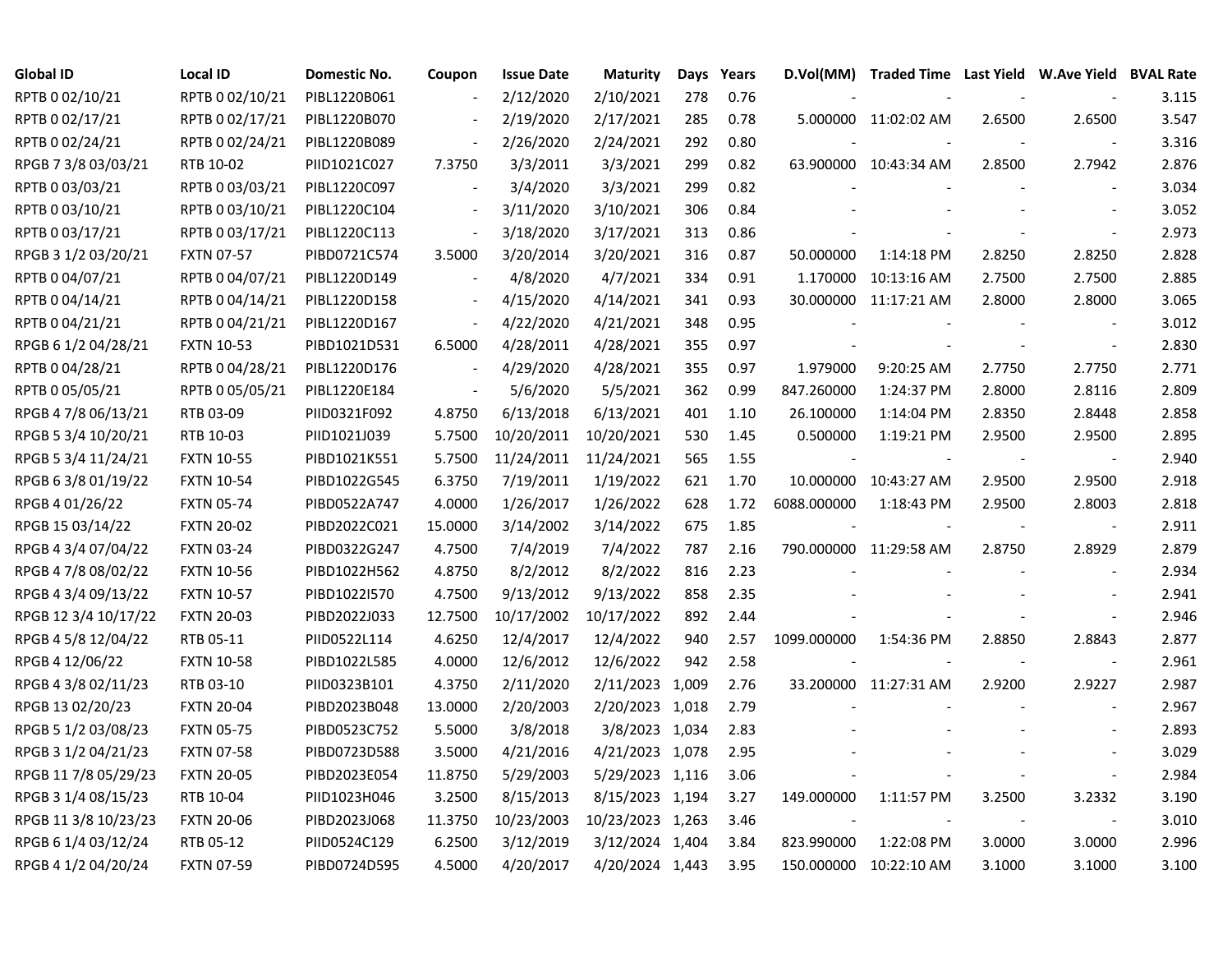| <b>Global ID</b>     | <b>Local ID</b>   | Domestic No. | Coupon                   | <b>Issue Date</b> | <b>Maturity</b>  | Days | Years |                          | D.Vol(MM) Traded Time Last Yield W.Ave Yield BVAL Rate |                |                          |       |
|----------------------|-------------------|--------------|--------------------------|-------------------|------------------|------|-------|--------------------------|--------------------------------------------------------|----------------|--------------------------|-------|
| RPTB 0 02/10/21      | RPTB 0 02/10/21   | PIBL1220B061 |                          | 2/12/2020         | 2/10/2021        | 278  | 0.76  |                          |                                                        |                |                          | 3.115 |
| RPTB 0 02/17/21      | RPTB 0 02/17/21   | PIBL1220B070 |                          | 2/19/2020         | 2/17/2021        | 285  | 0.78  |                          | 5.000000 11:02:02 AM                                   | 2.6500         | 2.6500                   | 3.547 |
| RPTB 0 02/24/21      | RPTB 0 02/24/21   | PIBL1220B089 | $\blacksquare$           | 2/26/2020         | 2/24/2021        | 292  | 0.80  |                          |                                                        |                | $\overline{\phantom{a}}$ | 3.316 |
| RPGB 7 3/8 03/03/21  | RTB 10-02         | PIID1021C027 | 7.3750                   | 3/3/2011          | 3/3/2021         | 299  | 0.82  |                          | 63.900000 10:43:34 AM                                  | 2.8500         | 2.7942                   | 2.876 |
| RPTB 0 03/03/21      | RPTB 0 03/03/21   | PIBL1220C097 | $\overline{\phantom{a}}$ | 3/4/2020          | 3/3/2021         | 299  | 0.82  |                          |                                                        |                | $\blacksquare$           | 3.034 |
| RPTB 0 03/10/21      | RPTB 0 03/10/21   | PIBL1220C104 | $\blacksquare$           | 3/11/2020         | 3/10/2021        | 306  | 0.84  |                          |                                                        |                | $\blacksquare$           | 3.052 |
| RPTB 0 03/17/21      | RPTB 0 03/17/21   | PIBL1220C113 | $\overline{\phantom{a}}$ | 3/18/2020         | 3/17/2021        | 313  | 0.86  |                          |                                                        |                |                          | 2.973 |
| RPGB 3 1/2 03/20/21  | <b>FXTN 07-57</b> | PIBD0721C574 | 3.5000                   | 3/20/2014         | 3/20/2021        | 316  | 0.87  | 50.000000                | 1:14:18 PM                                             | 2.8250         | 2.8250                   | 2.828 |
| RPTB 0 04/07/21      | RPTB 0 04/07/21   | PIBL1220D149 |                          | 4/8/2020          | 4/7/2021         | 334  | 0.91  | 1.170000                 | 10:13:16 AM                                            | 2.7500         | 2.7500                   | 2.885 |
| RPTB 0 04/14/21      | RPTB 0 04/14/21   | PIBL1220D158 | $\overline{\phantom{a}}$ | 4/15/2020         | 4/14/2021        | 341  | 0.93  |                          | 30.000000 11:17:21 AM                                  | 2.8000         | 2.8000                   | 3.065 |
| RPTB 0 04/21/21      | RPTB 0 04/21/21   | PIBL1220D167 | $\blacksquare$           | 4/22/2020         | 4/21/2021        | 348  | 0.95  |                          |                                                        |                | $\sim$                   | 3.012 |
| RPGB 6 1/2 04/28/21  | <b>FXTN 10-53</b> | PIBD1021D531 | 6.5000                   | 4/28/2011         | 4/28/2021        | 355  | 0.97  | $\sim$                   |                                                        | $\blacksquare$ | $\blacksquare$           | 2.830 |
| RPTB 0 04/28/21      | RPTB 0 04/28/21   | PIBL1220D176 | $\blacksquare$           | 4/29/2020         | 4/28/2021        | 355  | 0.97  | 1.979000                 | 9:20:25 AM                                             | 2.7750         | 2.7750                   | 2.771 |
| RPTB 0 05/05/21      | RPTB 0 05/05/21   | PIBL1220E184 | $\overline{\phantom{a}}$ | 5/6/2020          | 5/5/2021         | 362  | 0.99  | 847.260000               | 1:24:37 PM                                             | 2.8000         | 2.8116                   | 2.809 |
| RPGB 4 7/8 06/13/21  | RTB 03-09         | PIID0321F092 | 4.8750                   | 6/13/2018         | 6/13/2021        | 401  | 1.10  | 26.100000                | 1:14:04 PM                                             | 2.8350         | 2.8448                   | 2.858 |
| RPGB 5 3/4 10/20/21  | RTB 10-03         | PIID1021J039 | 5.7500                   | 10/20/2011        | 10/20/2021       | 530  | 1.45  | 0.500000                 | 1:19:21 PM                                             | 2.9500         | 2.9500                   | 2.895 |
| RPGB 5 3/4 11/24/21  | <b>FXTN 10-55</b> | PIBD1021K551 | 5.7500                   | 11/24/2011        | 11/24/2021       | 565  | 1.55  |                          |                                                        |                |                          | 2.940 |
| RPGB 6 3/8 01/19/22  | <b>FXTN 10-54</b> | PIBD1022G545 | 6.3750                   | 7/19/2011         | 1/19/2022        | 621  | 1.70  | 10.000000                | 10:43:27 AM                                            | 2.9500         | 2.9500                   | 2.918 |
| RPGB 4 01/26/22      | <b>FXTN 05-74</b> | PIBD0522A747 | 4.0000                   | 1/26/2017         | 1/26/2022        | 628  | 1.72  | 6088.000000              | 1:18:43 PM                                             | 2.9500         | 2.8003                   | 2.818 |
| RPGB 15 03/14/22     | <b>FXTN 20-02</b> | PIBD2022C021 | 15.0000                  | 3/14/2002         | 3/14/2022        | 675  | 1.85  |                          |                                                        |                | $\overline{\phantom{a}}$ | 2.911 |
| RPGB 4 3/4 07/04/22  | <b>FXTN 03-24</b> | PIBD0322G247 | 4.7500                   | 7/4/2019          | 7/4/2022         | 787  | 2.16  |                          | 790.000000 11:29:58 AM                                 | 2.8750         | 2.8929                   | 2.879 |
| RPGB 4 7/8 08/02/22  | <b>FXTN 10-56</b> | PIBD1022H562 | 4.8750                   | 8/2/2012          | 8/2/2022         | 816  | 2.23  |                          |                                                        |                | $\blacksquare$           | 2.934 |
| RPGB 4 3/4 09/13/22  | <b>FXTN 10-57</b> | PIBD1022I570 | 4.7500                   | 9/13/2012         | 9/13/2022        | 858  | 2.35  |                          |                                                        |                | $\overline{\phantom{a}}$ | 2.941 |
| RPGB 12 3/4 10/17/22 | <b>FXTN 20-03</b> | PIBD2022J033 | 12.7500                  | 10/17/2002        | 10/17/2022       | 892  | 2.44  |                          |                                                        |                | $\blacksquare$           | 2.946 |
| RPGB 4 5/8 12/04/22  | RTB 05-11         | PIID0522L114 | 4.6250                   | 12/4/2017         | 12/4/2022        | 940  | 2.57  | 1099.000000              | 1:54:36 PM                                             | 2.8850         | 2.8843                   | 2.877 |
| RPGB 4 12/06/22      | <b>FXTN 10-58</b> | PIBD1022L585 | 4.0000                   | 12/6/2012         | 12/6/2022        | 942  | 2.58  |                          |                                                        |                | $\overline{\phantom{a}}$ | 2.961 |
| RPGB 4 3/8 02/11/23  | RTB 03-10         | PIID0323B101 | 4.3750                   | 2/11/2020         | 2/11/2023 1,009  |      | 2.76  |                          | 33.200000 11:27:31 AM                                  | 2.9200         | 2.9227                   | 2.987 |
| RPGB 13 02/20/23     | <b>FXTN 20-04</b> | PIBD2023B048 | 13.0000                  | 2/20/2003         | 2/20/2023 1,018  |      | 2.79  |                          |                                                        |                |                          | 2.967 |
| RPGB 5 1/2 03/08/23  | <b>FXTN 05-75</b> | PIBD0523C752 | 5.5000                   | 3/8/2018          | 3/8/2023 1,034   |      | 2.83  |                          |                                                        |                |                          | 2.893 |
| RPGB 3 1/2 04/21/23  | <b>FXTN 07-58</b> | PIBD0723D588 | 3.5000                   | 4/21/2016         | 4/21/2023 1,078  |      | 2.95  |                          |                                                        |                | $\overline{\phantom{a}}$ | 3.029 |
| RPGB 11 7/8 05/29/23 | <b>FXTN 20-05</b> | PIBD2023E054 | 11.8750                  | 5/29/2003         | 5/29/2023 1,116  |      | 3.06  |                          |                                                        |                | $\overline{\phantom{a}}$ | 2.984 |
| RPGB 3 1/4 08/15/23  | RTB 10-04         | PIID1023H046 | 3.2500                   | 8/15/2013         | 8/15/2023 1,194  |      | 3.27  | 149.000000               | 1:11:57 PM                                             | 3.2500         | 3.2332                   | 3.190 |
| RPGB 11 3/8 10/23/23 | <b>FXTN 20-06</b> | PIBD2023J068 | 11.3750                  | 10/23/2003        | 10/23/2023 1,263 |      | 3.46  | $\overline{\phantom{a}}$ |                                                        |                | $\sim$                   | 3.010 |
| RPGB 6 1/4 03/12/24  | RTB 05-12         | PIID0524C129 | 6.2500                   | 3/12/2019         | 3/12/2024 1,404  |      | 3.84  | 823.990000               | 1:22:08 PM                                             | 3.0000         | 3.0000                   | 2.996 |
| RPGB 4 1/2 04/20/24  | <b>FXTN 07-59</b> | PIBD0724D595 | 4.5000                   | 4/20/2017         | 4/20/2024 1,443  |      | 3.95  |                          | 150.000000 10:22:10 AM                                 | 3.1000         | 3.1000                   | 3.100 |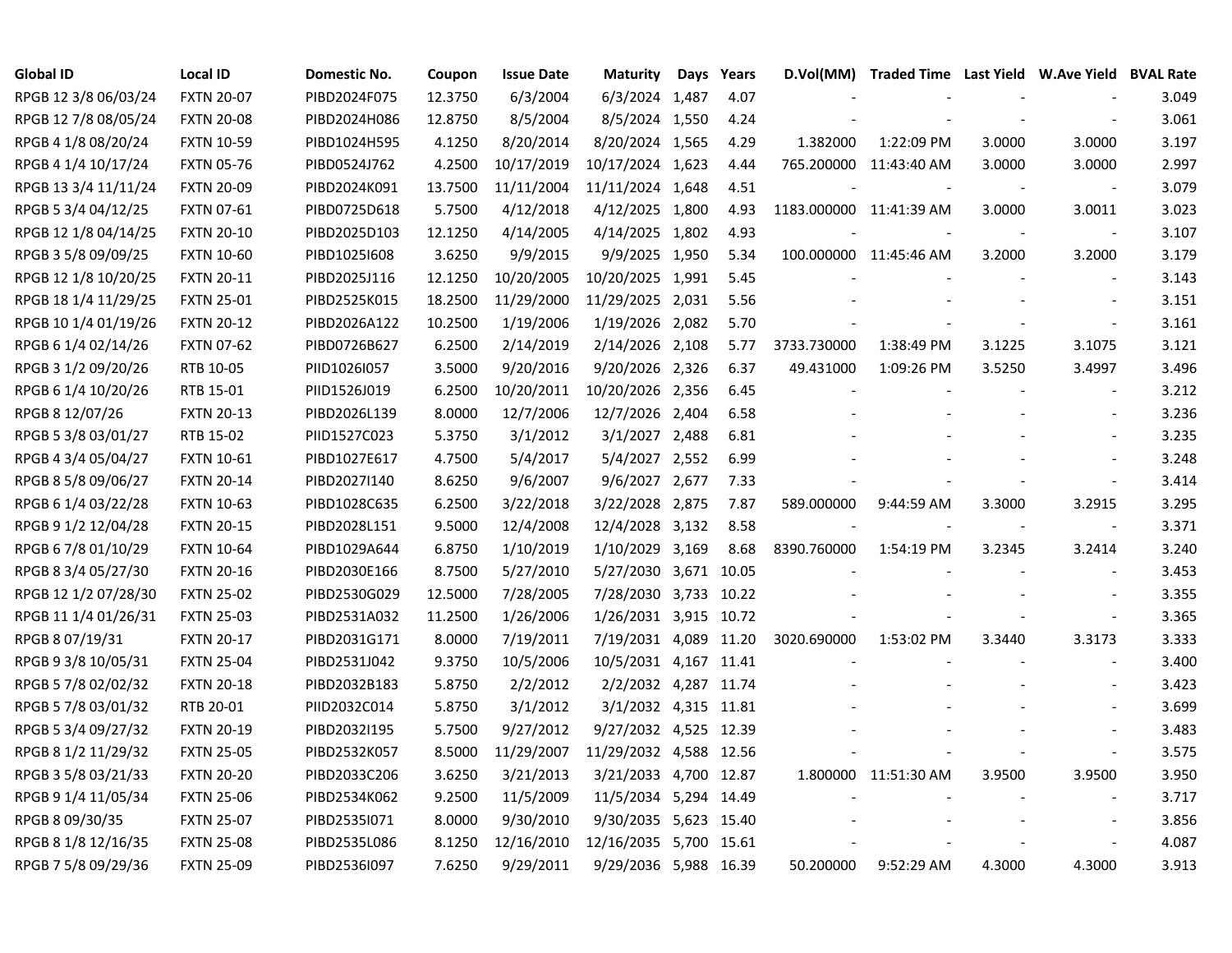| Global ID            | <b>Local ID</b>   | Domestic No. | Coupon  | <b>Issue Date</b> | <b>Maturity</b>        | Days | Years | D.Vol(MM)               | Traded Time Last Yield W.Ave Yield BVAL Rate |                          |                          |       |
|----------------------|-------------------|--------------|---------|-------------------|------------------------|------|-------|-------------------------|----------------------------------------------|--------------------------|--------------------------|-------|
| RPGB 12 3/8 06/03/24 | <b>FXTN 20-07</b> | PIBD2024F075 | 12.3750 | 6/3/2004          | 6/3/2024 1,487         |      | 4.07  |                         |                                              |                          |                          | 3.049 |
| RPGB 12 7/8 08/05/24 | <b>FXTN 20-08</b> | PIBD2024H086 | 12.8750 | 8/5/2004          | 8/5/2024 1,550         |      | 4.24  |                         |                                              |                          |                          | 3.061 |
| RPGB 4 1/8 08/20/24  | <b>FXTN 10-59</b> | PIBD1024H595 | 4.1250  | 8/20/2014         | 8/20/2024 1,565        |      | 4.29  | 1.382000                | 1:22:09 PM                                   | 3.0000                   | 3.0000                   | 3.197 |
| RPGB 4 1/4 10/17/24  | <b>FXTN 05-76</b> | PIBD0524J762 | 4.2500  | 10/17/2019        | 10/17/2024 1,623       |      | 4.44  |                         | 765.200000 11:43:40 AM                       | 3.0000                   | 3.0000                   | 2.997 |
| RPGB 13 3/4 11/11/24 | <b>FXTN 20-09</b> | PIBD2024K091 | 13.7500 | 11/11/2004        | 11/11/2024 1,648       |      | 4.51  |                         |                                              |                          | $\overline{\phantom{a}}$ | 3.079 |
| RPGB 5 3/4 04/12/25  | <b>FXTN 07-61</b> | PIBD0725D618 | 5.7500  | 4/12/2018         | 4/12/2025 1,800        |      | 4.93  | 1183.000000 11:41:39 AM |                                              | 3.0000                   | 3.0011                   | 3.023 |
| RPGB 12 1/8 04/14/25 | <b>FXTN 20-10</b> | PIBD2025D103 | 12.1250 | 4/14/2005         | 4/14/2025 1,802        |      | 4.93  |                         |                                              |                          | $\overline{\phantom{a}}$ | 3.107 |
| RPGB 3 5/8 09/09/25  | <b>FXTN 10-60</b> | PIBD1025I608 | 3.6250  | 9/9/2015          | 9/9/2025 1,950         |      | 5.34  |                         | 100.000000 11:45:46 AM                       | 3.2000                   | 3.2000                   | 3.179 |
| RPGB 12 1/8 10/20/25 | <b>FXTN 20-11</b> | PIBD2025J116 | 12.1250 | 10/20/2005        | 10/20/2025 1,991       |      | 5.45  |                         |                                              |                          | $\sim$                   | 3.143 |
| RPGB 18 1/4 11/29/25 | <b>FXTN 25-01</b> | PIBD2525K015 | 18.2500 | 11/29/2000        | 11/29/2025 2,031       |      | 5.56  |                         |                                              |                          |                          | 3.151 |
| RPGB 10 1/4 01/19/26 | <b>FXTN 20-12</b> | PIBD2026A122 | 10.2500 | 1/19/2006         | 1/19/2026 2,082        |      | 5.70  |                         |                                              |                          | $\overline{\phantom{a}}$ | 3.161 |
| RPGB 6 1/4 02/14/26  | <b>FXTN 07-62</b> | PIBD0726B627 | 6.2500  | 2/14/2019         | 2/14/2026 2,108        |      | 5.77  | 3733.730000             | 1:38:49 PM                                   | 3.1225                   | 3.1075                   | 3.121 |
| RPGB 3 1/2 09/20/26  | RTB 10-05         | PIID1026I057 | 3.5000  | 9/20/2016         | 9/20/2026 2,326        |      | 6.37  | 49.431000               | 1:09:26 PM                                   | 3.5250                   | 3.4997                   | 3.496 |
| RPGB 6 1/4 10/20/26  | RTB 15-01         | PIID1526J019 | 6.2500  | 10/20/2011        | 10/20/2026 2,356       |      | 6.45  |                         |                                              |                          | $\overline{\phantom{a}}$ | 3.212 |
| RPGB 8 12/07/26      | <b>FXTN 20-13</b> | PIBD2026L139 | 8.0000  | 12/7/2006         | 12/7/2026 2,404        |      | 6.58  |                         |                                              |                          |                          | 3.236 |
| RPGB 5 3/8 03/01/27  | RTB 15-02         | PIID1527C023 | 5.3750  | 3/1/2012          | 3/1/2027 2,488         |      | 6.81  |                         |                                              |                          |                          | 3.235 |
| RPGB 4 3/4 05/04/27  | <b>FXTN 10-61</b> | PIBD1027E617 | 4.7500  | 5/4/2017          | 5/4/2027 2,552         |      | 6.99  |                         |                                              |                          |                          | 3.248 |
| RPGB 8 5/8 09/06/27  | <b>FXTN 20-14</b> | PIBD2027I140 | 8.6250  | 9/6/2007          | 9/6/2027 2,677         |      | 7.33  |                         |                                              |                          |                          | 3.414 |
| RPGB 6 1/4 03/22/28  | <b>FXTN 10-63</b> | PIBD1028C635 | 6.2500  | 3/22/2018         | 3/22/2028 2,875        |      | 7.87  | 589.000000              | 9:44:59 AM                                   | 3.3000                   | 3.2915                   | 3.295 |
| RPGB 9 1/2 12/04/28  | <b>FXTN 20-15</b> | PIBD2028L151 | 9.5000  | 12/4/2008         | 12/4/2028 3,132        |      | 8.58  |                         |                                              | $\overline{\phantom{a}}$ | $\overline{\phantom{a}}$ | 3.371 |
| RPGB 6 7/8 01/10/29  | <b>FXTN 10-64</b> | PIBD1029A644 | 6.8750  | 1/10/2019         | 1/10/2029 3,169        |      | 8.68  | 8390.760000             | 1:54:19 PM                                   | 3.2345                   | 3.2414                   | 3.240 |
| RPGB 8 3/4 05/27/30  | <b>FXTN 20-16</b> | PIBD2030E166 | 8.7500  | 5/27/2010         | 5/27/2030 3,671        |      | 10.05 |                         |                                              |                          | $\blacksquare$           | 3.453 |
| RPGB 12 1/2 07/28/30 | <b>FXTN 25-02</b> | PIBD2530G029 | 12.5000 | 7/28/2005         | 7/28/2030 3,733 10.22  |      |       |                         |                                              |                          | $\overline{\phantom{a}}$ | 3.355 |
| RPGB 11 1/4 01/26/31 | <b>FXTN 25-03</b> | PIBD2531A032 | 11.2500 | 1/26/2006         | 1/26/2031 3,915 10.72  |      |       |                         |                                              |                          | $\blacksquare$           | 3.365 |
| RPGB 8 07/19/31      | <b>FXTN 20-17</b> | PIBD2031G171 | 8.0000  | 7/19/2011         | 7/19/2031 4,089 11.20  |      |       | 3020.690000             | 1:53:02 PM                                   | 3.3440                   | 3.3173                   | 3.333 |
| RPGB 9 3/8 10/05/31  | <b>FXTN 25-04</b> | PIBD2531J042 | 9.3750  | 10/5/2006         | 10/5/2031 4,167 11.41  |      |       |                         |                                              |                          | $\sim$                   | 3.400 |
| RPGB 5 7/8 02/02/32  | <b>FXTN 20-18</b> | PIBD2032B183 | 5.8750  | 2/2/2012          | 2/2/2032 4,287 11.74   |      |       |                         |                                              |                          | $\overline{\phantom{a}}$ | 3.423 |
| RPGB 5 7/8 03/01/32  | RTB 20-01         | PIID2032C014 | 5.8750  | 3/1/2012          | 3/1/2032 4,315 11.81   |      |       |                         |                                              |                          |                          | 3.699 |
| RPGB 5 3/4 09/27/32  | <b>FXTN 20-19</b> | PIBD2032I195 | 5.7500  | 9/27/2012         | 9/27/2032 4,525 12.39  |      |       |                         |                                              |                          |                          | 3.483 |
| RPGB 8 1/2 11/29/32  | <b>FXTN 25-05</b> | PIBD2532K057 | 8.5000  | 11/29/2007        | 11/29/2032 4,588 12.56 |      |       |                         |                                              |                          | $\overline{\phantom{a}}$ | 3.575 |
| RPGB 3 5/8 03/21/33  | <b>FXTN 20-20</b> | PIBD2033C206 | 3.6250  | 3/21/2013         | 3/21/2033 4,700 12.87  |      |       |                         | 1.800000 11:51:30 AM                         | 3.9500                   | 3.9500                   | 3.950 |
| RPGB 9 1/4 11/05/34  | <b>FXTN 25-06</b> | PIBD2534K062 | 9.2500  | 11/5/2009         | 11/5/2034 5,294 14.49  |      |       |                         |                                              |                          | $\blacksquare$           | 3.717 |
| RPGB 8 09/30/35      | <b>FXTN 25-07</b> | PIBD2535I071 | 8.0000  | 9/30/2010         | 9/30/2035 5,623 15.40  |      |       |                         |                                              |                          |                          | 3.856 |
| RPGB 8 1/8 12/16/35  | <b>FXTN 25-08</b> | PIBD2535L086 | 8.1250  | 12/16/2010        | 12/16/2035 5,700 15.61 |      |       |                         |                                              |                          | $\overline{\phantom{a}}$ | 4.087 |
| RPGB 7 5/8 09/29/36  | <b>FXTN 25-09</b> | PIBD2536I097 | 7.6250  | 9/29/2011         | 9/29/2036 5,988 16.39  |      |       | 50.200000               | 9:52:29 AM                                   | 4.3000                   | 4.3000                   | 3.913 |